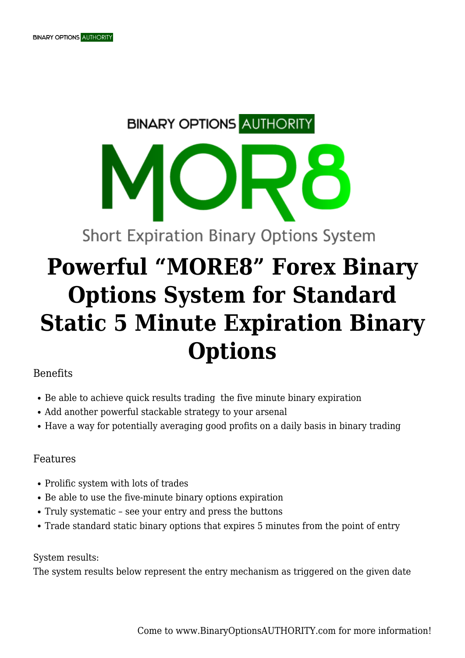## **BINARY OPTIONS AUTHORITY**

# **Powerful "MORE8" Forex Binary Options System for Standard Static 5 Minute Expiration Binary Options**

**Short Expiration Binary Options System** 

### Benefits

- Be able to achieve quick results trading the five minute binary expiration
- Add another powerful stackable strategy to your arsenal
- Have a way for potentially averaging good profits on a daily basis in binary trading

### Features

- Prolific system with lots of trades
- Be able to use the five-minute binary options expiration
- Truly systematic see your entry and press the buttons
- Trade standard static binary options that expires 5 minutes from the point of entry

#### System results:

The system results below represent the entry mechanism as triggered on the given date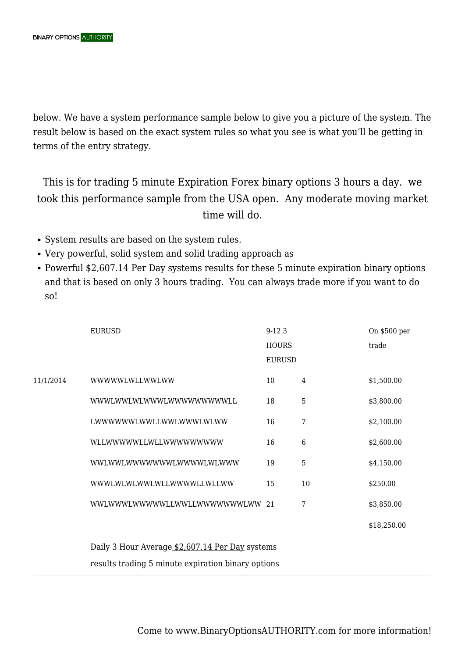below. We have a system performance sample below to give you a picture of the system. The result below is based on the exact system rules so what you see is what you'll be getting in terms of the entry strategy.

This is for trading 5 minute Expiration Forex binary options 3 hours a day. we took this performance sample from the USA open. Any moderate moving market time will do.

- System results are based on the system rules.
- Very powerful, solid system and solid trading approach as
- Powerful \$2,607.14 Per Day systems results for these 5 minute expiration binary options and that is based on only 3 hours trading. You can always trade more if you want to do so!

|           | EURUSD                                             | $9-123$       |                | On \$500 per |
|-----------|----------------------------------------------------|---------------|----------------|--------------|
|           |                                                    | <b>HOURS</b>  |                | trade        |
|           |                                                    | <b>EURUSD</b> |                |              |
| 11/1/2014 | WWWWWLWLLWWLWW                                     | 10            | $\overline{4}$ | \$1,500.00   |
|           | WWWLWWLWLWWWLWWWWWWWLL                             | 18            | 5              | \$3,800.00   |
|           | LWWWWWWLWWLLWWLWWWLWLWW                            | 16            | 7              | \$2,100.00   |
|           | WLLWWWWWLLWLLWWWWWWWWW                             | 16            | 6              | \$2,600.00   |
|           | WWLWWLWWWWWWLWWWWLWLWWW                            | 19            | 5              | \$4,150.00   |
|           | WWWLWLWLWWLWLLWWWWLLWLLWW                          | 15            | 10             | \$250.00     |
|           | WWLWWWLWWWWLLWWLLWWWWWWWLWW                        | 2.1           | 7              | \$3,850.00   |
|           |                                                    |               |                | \$18,250.00  |
|           | Daily 3 Hour Average \$2,607.14 Per Day systems    |               |                |              |
|           | results trading 5 minute expiration binary options |               |                |              |